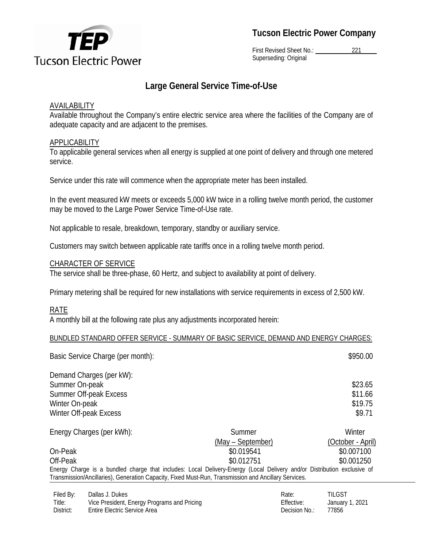

**Tucson Electric Power Company**

First Revised Sheet No.: 221 Superseding: Original

# **Large General Service Time-of-Use**

## **AVAILABILITY**

Available throughout the Company's entire electric service area where the facilities of the Company are of adequate capacity and are adjacent to the premises.

## **APPLICABILITY**

To applicabile general services when all energy is supplied at one point of delivery and through one metered service.

Service under this rate will commence when the appropriate meter has been installed.

In the event measured kW meets or exceeds 5,000 kW twice in a rolling twelve month period, the customer may be moved to the Large Power Service Time-of-Use rate.

Not applicable to resale, breakdown, temporary, standby or auxiliary service.

Customers may switch between applicable rate tariffs once in a rolling twelve month period.

## CHARACTER OF SERVICE

The service shall be three-phase, 60 Hertz, and subject to availability at point of delivery.

Primary metering shall be required for new installations with service requirements in excess of 2,500 kW.

# RATE

A monthly bill at the following rate plus any adjustments incorporated herein:

#### BUNDLED STANDARD OFFER SERVICE - SUMMARY OF BASIC SERVICE, DEMAND AND ENERGY CHARGES:

|                           | Basic Service Charge (per month):                                                                                       |                   | \$950.00          |
|---------------------------|-------------------------------------------------------------------------------------------------------------------------|-------------------|-------------------|
|                           | Demand Charges (per kW):                                                                                                |                   |                   |
| Summer On-peak            |                                                                                                                         |                   | \$23.65           |
| Summer Off-peak Excess    |                                                                                                                         |                   | \$11.66           |
| Winter On-peak            |                                                                                                                         |                   | \$19.75           |
|                           | Winter Off-peak Excess                                                                                                  |                   | \$9.71            |
| Energy Charges (per kWh): |                                                                                                                         | Summer            | Winter            |
|                           |                                                                                                                         | (May – September) | (October - April) |
| On-Peak                   |                                                                                                                         | \$0.019541        | \$0.007100        |
| Off-Peak                  |                                                                                                                         | \$0.012751        | \$0.001250        |
|                           | Energy Charge is a bundled charge that includes: Local Delivery-Energy (Local Delivery and/or Distribution exclusive of |                   |                   |
|                           | Transmission/Ancillaries), Generation Capacity, Fixed Must-Run, Transmission and Ancillary Services.                    |                   |                   |
| Filed By:                 | Dallas J. Dukes                                                                                                         | Rate:             | TILGST            |
| Title:                    | Vice President, Energy Programs and Pricing                                                                             | Effective:        | January 1, 2021   |

District: Entire Electric Service Area **Decision No.: 27856 Decision No.: 27856**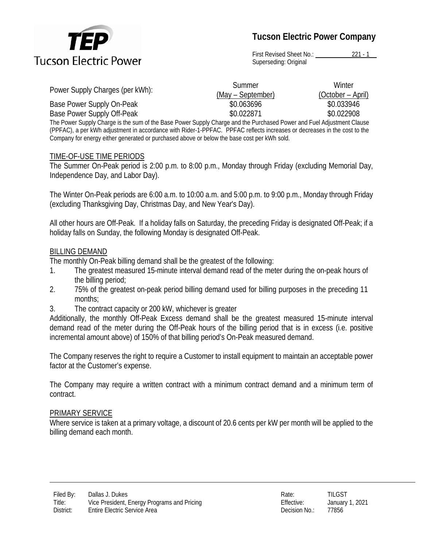

# **Tucson Electric Power Company**

First Revised Sheet No.: 221 - 1 Superseding: Original

| Power Supply Charges (per kWh): | Summer            | Winter            |
|---------------------------------|-------------------|-------------------|
|                                 | (May – September) | (October – April) |
| Base Power Supply On-Peak       | \$0.063696        | \$0.033946        |
| Base Power Supply Off-Peak      | \$0.022871        | \$0.022908        |
|                                 |                   |                   |

The Power Supply Charge is the sum of the Base Power Supply Charge and the Purchased Power and Fuel Adjustment Clause (PPFAC), a per kWh adjustment in accordance with Rider-1-PPFAC. PPFAC reflects increases or decreases in the cost to the Company for energy either generated or purchased above or below the base cost per kWh sold.

#### TIME-OF-USE TIME PERIODS

The Summer On-Peak period is 2:00 p.m. to 8:00 p.m., Monday through Friday (excluding Memorial Day, Independence Day, and Labor Day).

The Winter On-Peak periods are 6:00 a.m. to 10:00 a.m. and 5:00 p.m. to 9:00 p.m., Monday through Friday (excluding Thanksgiving Day, Christmas Day, and New Year's Day).

All other hours are Off-Peak. If a holiday falls on Saturday, the preceding Friday is designated Off-Peak; if a holiday falls on Sunday, the following Monday is designated Off-Peak.

#### BILLING DEMAND

The monthly On-Peak billing demand shall be the greatest of the following:

- 1. The greatest measured 15-minute interval demand read of the meter during the on-peak hours of the billing period;
- 2. 75% of the greatest on-peak period billing demand used for billing purposes in the preceding 11 months;
- 3. The contract capacity or 200 kW, whichever is greater

Additionally, the monthly Off-Peak Excess demand shall be the greatest measured 15-minute interval demand read of the meter during the Off-Peak hours of the billing period that is in excess (i.e. positive incremental amount above) of 150% of that billing period's On-Peak measured demand.

The Company reserves the right to require a Customer to install equipment to maintain an acceptable power factor at the Customer's expense.

The Company may require a written contract with a minimum contract demand and a minimum term of contract.

#### PRIMARY SERVICE

Where service is taken at a primary voltage, a discount of 20.6 cents per kW per month will be applied to the billing demand each month.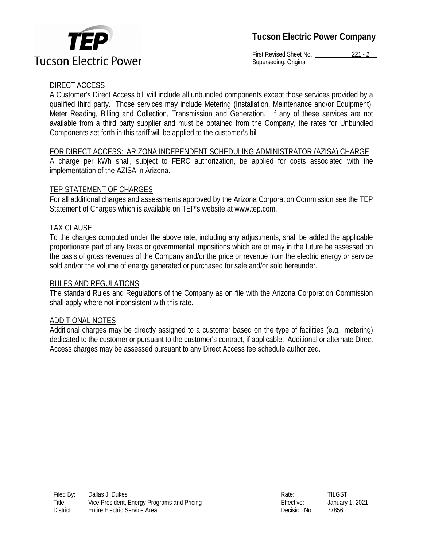



First Revised Sheet No.: 221 - 2 Superseding: Original

# DIRECT ACCESS

A Customer's Direct Access bill will include all unbundled components except those services provided by a qualified third party. Those services may include Metering (Installation, Maintenance and/or Equipment), Meter Reading, Billing and Collection, Transmission and Generation. If any of these services are not available from a third party supplier and must be obtained from the Company, the rates for Unbundled Components set forth in this tariff will be applied to the customer's bill.

# FOR DIRECT ACCESS: ARIZONA INDEPENDENT SCHEDULING ADMINISTRATOR (AZISA) CHARGE

A charge per kWh shall, subject to FERC authorization, be applied for costs associated with the implementation of the AZISA in Arizona.

# TEP STATEMENT OF CHARGES

For all additional charges and assessments approved by the Arizona Corporation Commission see the TEP Statement of Charges which is available on TEP's website at www.tep.com.

# TAX CLAUSE

To the charges computed under the above rate, including any adjustments, shall be added the applicable proportionate part of any taxes or governmental impositions which are or may in the future be assessed on the basis of gross revenues of the Company and/or the price or revenue from the electric energy or service sold and/or the volume of energy generated or purchased for sale and/or sold hereunder.

# RULES AND REGULATIONS

The standard Rules and Regulations of the Company as on file with the Arizona Corporation Commission shall apply where not inconsistent with this rate.

# ADDITIONAL NOTES

Additional charges may be directly assigned to a customer based on the type of facilities (e.g., metering) dedicated to the customer or pursuant to the customer's contract, if applicable. Additional or alternate Direct Access charges may be assessed pursuant to any Direct Access fee schedule authorized.